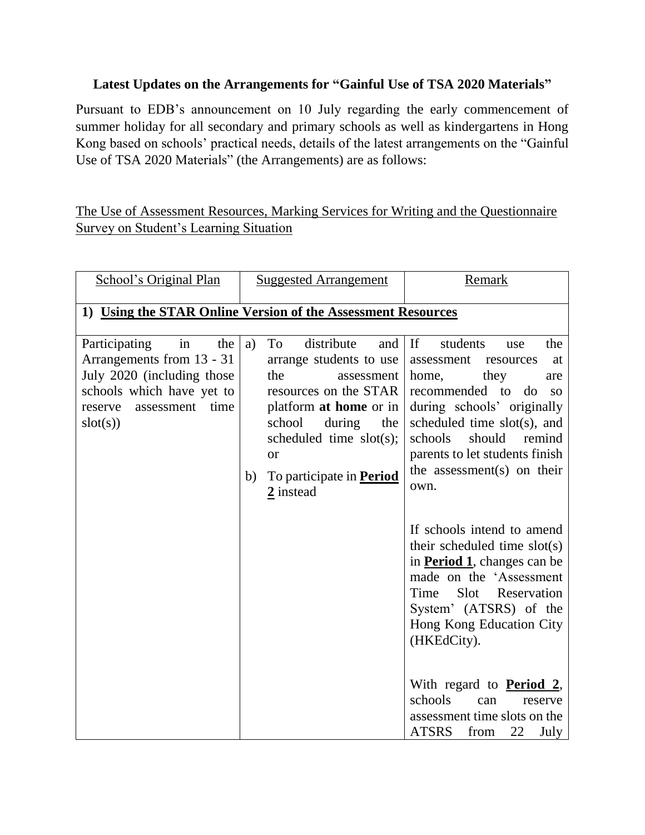## **Latest Updates on the Arrangements for "Gainful Use of TSA 2020 Materials"**

Pursuant to EDB's announcement on 10 July regarding the early commencement of summer holiday for all secondary and primary schools as well as kindergartens in Hong Kong based on schools' practical needs, details of the latest arrangements on the "Gainful Use of TSA 2020 Materials" (the Arrangements) are as follows:

## The Use of Assessment Resources, Marking Services for Writing and the Questionnaire Survey on Student's Learning Situation

| School's Original Plan                                                                                                                                       | <b>Suggested Arrangement</b>                                                                                                                                                                                                                              | Remark                                                                                                                                                                                                                                                                                                                                                                 |  |
|--------------------------------------------------------------------------------------------------------------------------------------------------------------|-----------------------------------------------------------------------------------------------------------------------------------------------------------------------------------------------------------------------------------------------------------|------------------------------------------------------------------------------------------------------------------------------------------------------------------------------------------------------------------------------------------------------------------------------------------------------------------------------------------------------------------------|--|
| 1) Using the STAR Online Version of the Assessment Resources                                                                                                 |                                                                                                                                                                                                                                                           |                                                                                                                                                                                                                                                                                                                                                                        |  |
| Participating<br>in<br>the<br>Arrangements from 13 - 31<br>July 2020 (including those<br>schools which have yet to<br>assessment time<br>reserve<br>slot(s)) | distribute<br>To<br>and<br>a)<br>arrange students to use<br>the<br>assessment<br>resources on the STAR<br>platform at home or in<br>during<br>school<br>the<br>scheduled time slot(s);<br><b>or</b><br>b)<br>To participate in <b>Period</b><br>2 instead | If<br>students<br>the<br>use<br>assessment<br>resources<br>at<br>home,<br>they<br>are<br>recommended to<br>do<br>SO <sub>2</sub><br>during schools' originally<br>scheduled time slot(s), and<br>schools<br>should<br>remind<br>parents to let students finish<br>the assessment(s) on their<br>own.                                                                   |  |
|                                                                                                                                                              |                                                                                                                                                                                                                                                           | If schools intend to amend<br>their scheduled time slot(s)<br>in <b>Period 1</b> , changes can be<br>made on the 'Assessment<br>Slot<br>Time<br>Reservation<br>System' (ATSRS) of the<br>Hong Kong Education City<br>(HKEdCity).<br>With regard to <b>Period</b> 2,<br>schools<br>can<br>reserve<br>assessment time slots on the<br><b>ATSRS</b><br>from<br>22<br>July |  |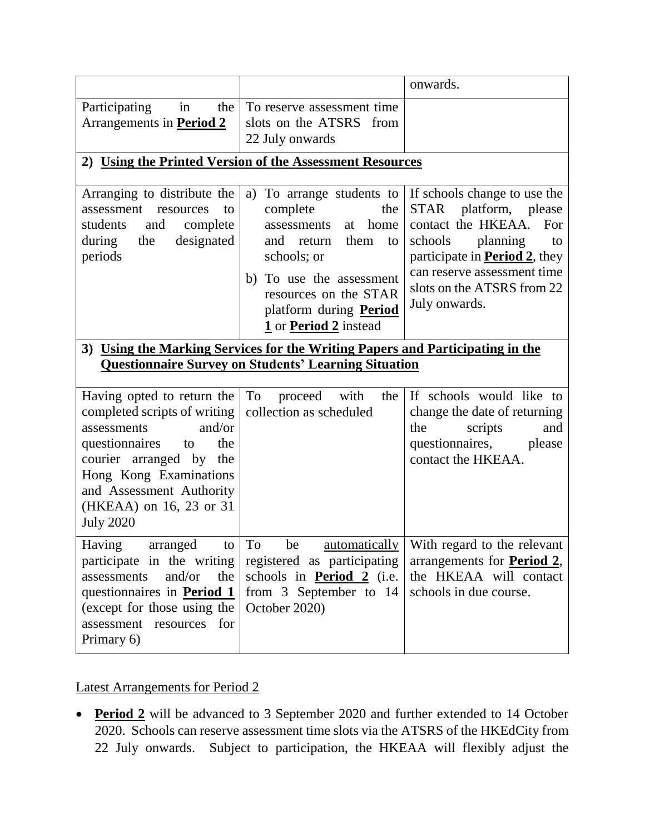|                                                                                                                                                                                                                                                    |                                                                                                                                                                                                                                              | onwards.                                                                                                                                                                                                                               |  |
|----------------------------------------------------------------------------------------------------------------------------------------------------------------------------------------------------------------------------------------------------|----------------------------------------------------------------------------------------------------------------------------------------------------------------------------------------------------------------------------------------------|----------------------------------------------------------------------------------------------------------------------------------------------------------------------------------------------------------------------------------------|--|
| Participating<br>in<br>the<br>Arrangements in <b>Period 2</b>                                                                                                                                                                                      | To reserve assessment time<br>slots on the ATSRS from<br>22 July onwards                                                                                                                                                                     |                                                                                                                                                                                                                                        |  |
| 2) Using the Printed Version of the Assessment Resources                                                                                                                                                                                           |                                                                                                                                                                                                                                              |                                                                                                                                                                                                                                        |  |
| Arranging to distribute the<br>assessment resources<br>to<br>students<br>and<br>complete<br>designated<br>during the<br>periods                                                                                                                    | To arrange students to<br>a)<br>complete<br>the<br>assessments<br>home<br>at<br>and<br>return<br>them<br>to<br>schools; or<br>To use the assessment<br>b)<br>resources on the STAR<br>platform during <b>Period</b><br>1 or Period 2 instead | If schools change to use the<br>STAR platform, please<br>contact the HKEAA.<br>For<br>planning<br>schools<br>to<br>participate in <b>Period 2</b> , they<br>can reserve assessment time<br>slots on the ATSRS from 22<br>July onwards. |  |
| 3) Using the Marking Services for the Writing Papers and Participating in the<br><b>Questionnaire Survey on Students' Learning Situation</b>                                                                                                       |                                                                                                                                                                                                                                              |                                                                                                                                                                                                                                        |  |
| Having opted to return the<br>completed scripts of writing<br>and/or<br>assessments<br>questionnaires<br>the<br>to<br>courier arranged by the<br>Hong Kong Examinations<br>and Assessment Authority<br>(HKEAA) on 16, 23 or 31<br><b>July 2020</b> | To<br>with<br>the<br>proceed<br>collection as scheduled                                                                                                                                                                                      | If schools would like to<br>change the date of returning<br>the<br>scripts<br>and<br>questionnaires,<br>please<br>contact the HKEAA.                                                                                                   |  |
| Having<br>arranged<br>to<br>participate in the writing<br>and/or<br>assessments<br>the<br>questionnaires in <b>Period 1</b><br>(except for those using the<br>assessment resources for<br>Primary 6)                                               | T <sub>0</sub><br>be<br>registered as participating<br>schools in <b>Period</b> 2 (i.e.<br>from 3 September to 14<br>October 2020)                                                                                                           | $\frac{automatically}{\text{with regard to the relevant}}$<br>arrangements for <b>Period 2</b> ,<br>the HKEAA will contact<br>schools in due course.                                                                                   |  |

## Latest Arrangements for Period 2

• **Period 2** will be advanced to 3 September 2020 and further extended to 14 October 2020. Schools can reserve assessment time slots via the ATSRS of the HKEdCity from 22 July onwards. Subject to participation, the HKEAA will flexibly adjust the